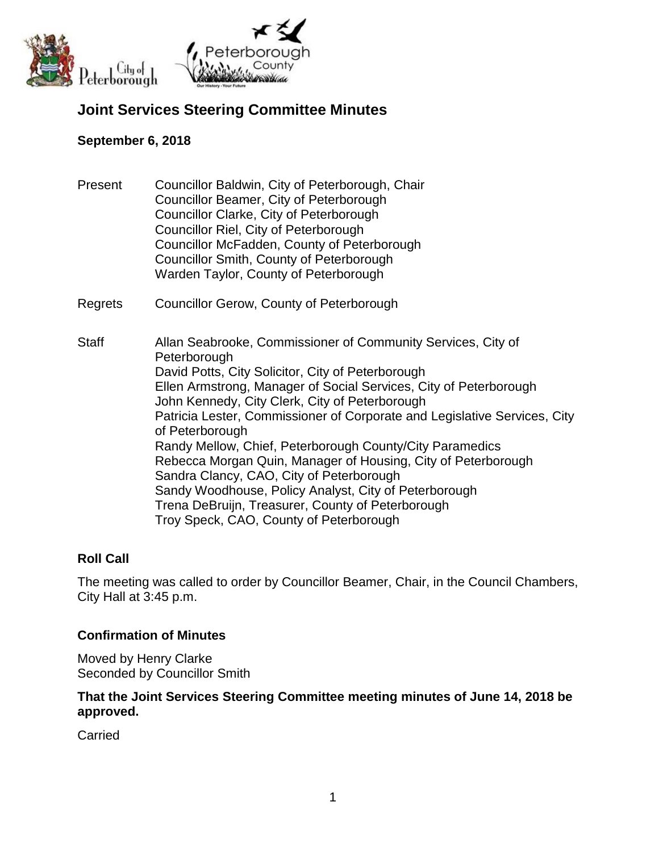

# **Joint Services Steering Committee Minutes**

#### **September 6, 2018**

- Present Councillor Baldwin, City of Peterborough, Chair Councillor Beamer, City of Peterborough Councillor Clarke, City of Peterborough Councillor Riel, City of Peterborough Councillor McFadden, County of Peterborough Councillor Smith, County of Peterborough Warden Taylor, County of Peterborough
- Regrets Councillor Gerow, County of Peterborough
- Staff Allan Seabrooke, Commissioner of Community Services, City of **Peterborough** David Potts, City Solicitor, City of Peterborough Ellen Armstrong, Manager of Social Services, City of Peterborough John Kennedy, City Clerk, City of Peterborough Patricia Lester, Commissioner of Corporate and Legislative Services, City of Peterborough Randy Mellow, Chief, Peterborough County/City Paramedics Rebecca Morgan Quin, Manager of Housing, City of Peterborough Sandra Clancy, CAO, City of Peterborough Sandy Woodhouse, Policy Analyst, City of Peterborough Trena DeBruijn, Treasurer, County of Peterborough Troy Speck, CAO, County of Peterborough

### **Roll Call**

The meeting was called to order by Councillor Beamer, Chair, in the Council Chambers, City Hall at 3:45 p.m.

#### **Confirmation of Minutes**

Moved by Henry Clarke Seconded by Councillor Smith

#### **That the Joint Services Steering Committee meeting minutes of June 14, 2018 be approved.**

**Carried**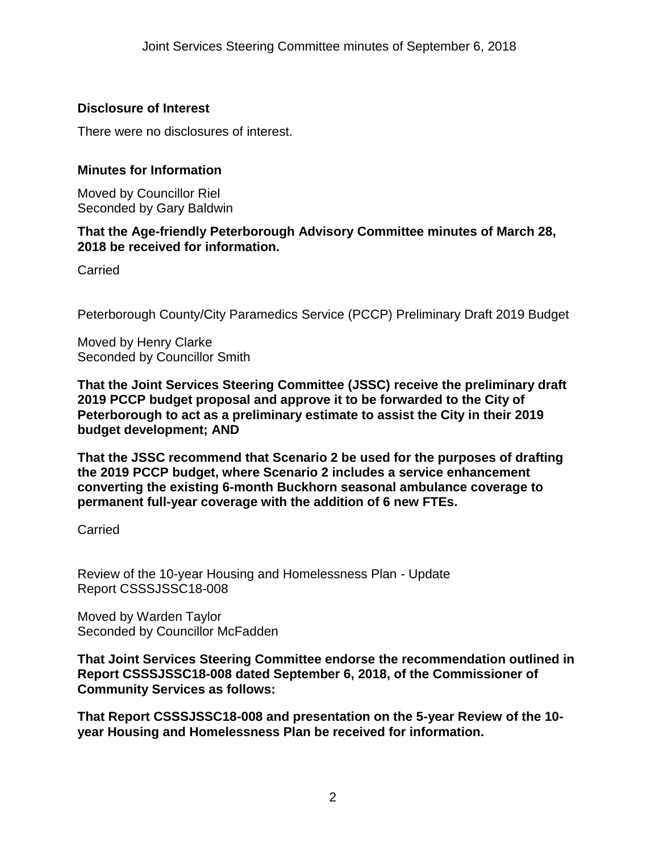### **Disclosure of Interest**

There were no disclosures of interest.

#### **Minutes for Information**

Moved by Councillor Riel Seconded by Gary Baldwin

#### **That the Age-friendly Peterborough Advisory Committee minutes of March 28, 2018 be received for information.**

**Carried** 

Peterborough County/City Paramedics Service (PCCP) Preliminary Draft 2019 Budget

Moved by Henry Clarke Seconded by Councillor Smith

**That the Joint Services Steering Committee (JSSC) receive the preliminary draft 2019 PCCP budget proposal and approve it to be forwarded to the City of Peterborough to act as a preliminary estimate to assist the City in their 2019 budget development; AND**

**That the JSSC recommend that Scenario 2 be used for the purposes of drafting the 2019 PCCP budget, where Scenario 2 includes a service enhancement converting the existing 6-month Buckhorn seasonal ambulance coverage to permanent full-year coverage with the addition of 6 new FTEs.**

**Carried** 

Review of the 10-year Housing and Homelessness Plan - Update Report CSSSJSSC18-008

Moved by Warden Taylor Seconded by Councillor McFadden

**That Joint Services Steering Committee endorse the recommendation outlined in Report CSSSJSSC18-008 dated September 6, 2018, of the Commissioner of Community Services as follows:**

**That Report CSSSJSSC18-008 and presentation on the 5-year Review of the 10 year Housing and Homelessness Plan be received for information.**